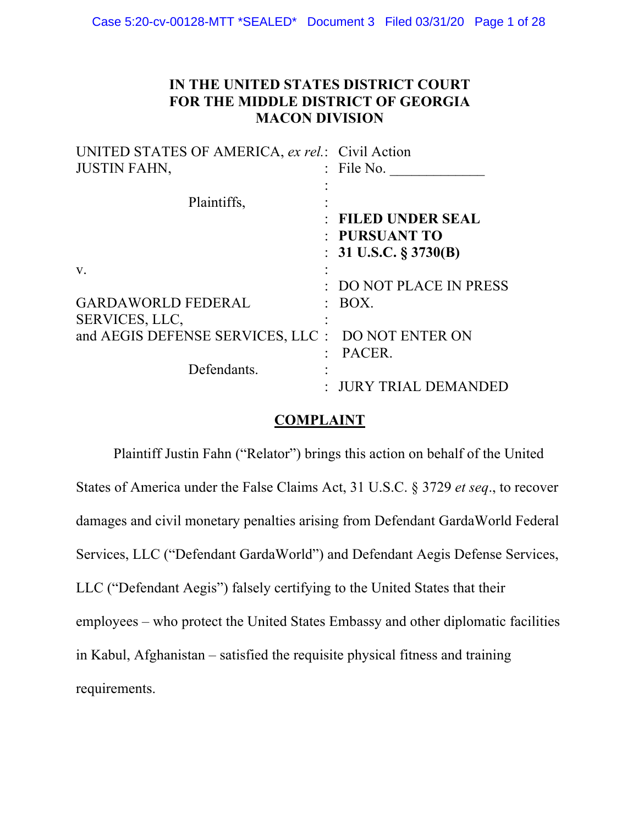## **IN THE UNITED STATES DISTRICT COURT FOR THE MIDDLE DISTRICT OF GEORGIA MACON DIVISION**

| UNITED STATES OF AMERICA, ex rel.: Civil Action |                          |
|-------------------------------------------------|--------------------------|
| <b>JUSTIN FAHN,</b>                             | : File No.               |
|                                                 |                          |
| Plaintiffs,                                     |                          |
|                                                 | : FILED UNDER SEAL       |
|                                                 | : PURSUANT TO            |
|                                                 | : 31 U.S.C. $\S 3730(B)$ |
| V.                                              |                          |
|                                                 | DO NOT PLACE IN PRESS    |
| <b>GARDAWORLD FEDERAL</b>                       | BOX.                     |
| SERVICES, LLC,                                  |                          |
| and AEGIS DEFENSE SERVICES, LLC :               | DO NOT ENTER ON          |
|                                                 | PACER.                   |
| Defendants.                                     |                          |
|                                                 | <b>JURY TRIAL DEMANI</b> |

## **COMPLAINT**

Plaintiff Justin Fahn ("Relator") brings this action on behalf of the United States of America under the False Claims Act, 31 U.S.C. § 3729 *et seq*., to recover damages and civil monetary penalties arising from Defendant GardaWorld Federal Services, LLC ("Defendant GardaWorld") and Defendant Aegis Defense Services, LLC ("Defendant Aegis") falsely certifying to the United States that their employees – who protect the United States Embassy and other diplomatic facilities in Kabul, Afghanistan – satisfied the requisite physical fitness and training requirements.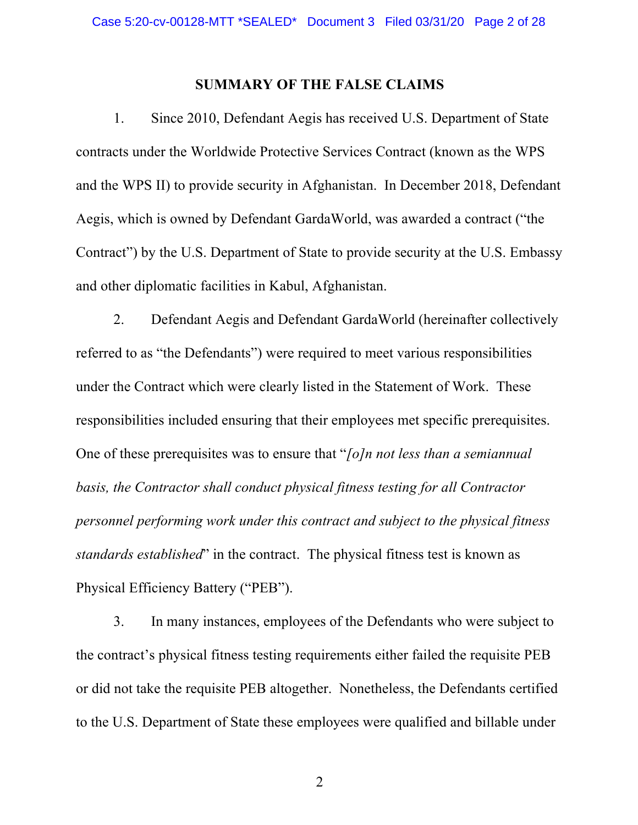## **SUMMARY OF THE FALSE CLAIMS**

1. Since 2010, Defendant Aegis has received U.S. Department of State contracts under the Worldwide Protective Services Contract (known as the WPS and the WPS II) to provide security in Afghanistan. In December 2018, Defendant Aegis, which is owned by Defendant GardaWorld, was awarded a contract ("the Contract") by the U.S. Department of State to provide security at the U.S. Embassy and other diplomatic facilities in Kabul, Afghanistan.

2. Defendant Aegis and Defendant GardaWorld (hereinafter collectively referred to as "the Defendants") were required to meet various responsibilities under the Contract which were clearly listed in the Statement of Work. These responsibilities included ensuring that their employees met specific prerequisites. One of these prerequisites was to ensure that "*[o]n not less than a semiannual basis, the Contractor shall conduct physical fitness testing for all Contractor personnel performing work under this contract and subject to the physical fitness standards established*" in the contract. The physical fitness test is known as Physical Efficiency Battery ("PEB").

3. In many instances, employees of the Defendants who were subject to the contract's physical fitness testing requirements either failed the requisite PEB or did not take the requisite PEB altogether. Nonetheless, the Defendants certified to the U.S. Department of State these employees were qualified and billable under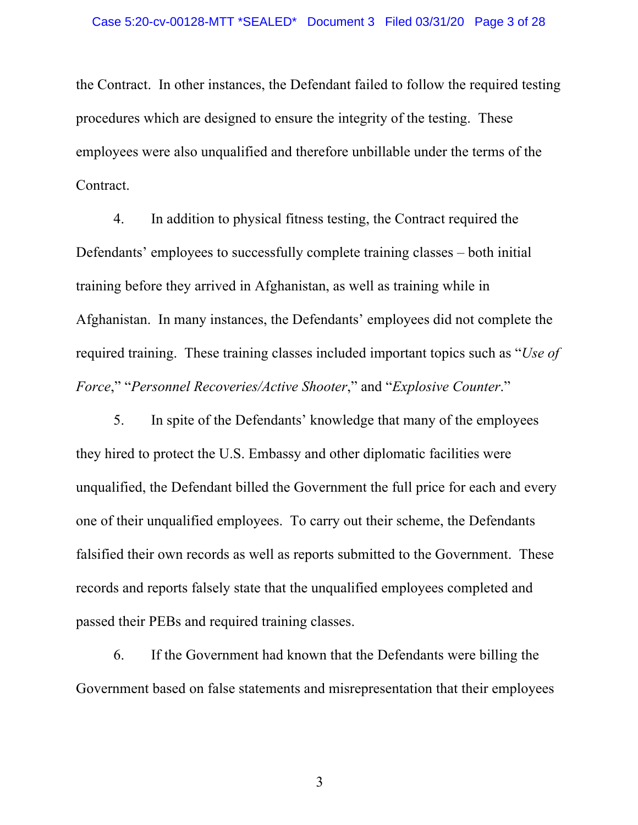the Contract. In other instances, the Defendant failed to follow the required testing procedures which are designed to ensure the integrity of the testing. These employees were also unqualified and therefore unbillable under the terms of the Contract.

4. In addition to physical fitness testing, the Contract required the Defendants' employees to successfully complete training classes – both initial training before they arrived in Afghanistan, as well as training while in Afghanistan. In many instances, the Defendants' employees did not complete the required training. These training classes included important topics such as "*Use of Force*," "*Personnel Recoveries/Active Shooter*," and "*Explosive Counter*."

5. In spite of the Defendants' knowledge that many of the employees they hired to protect the U.S. Embassy and other diplomatic facilities were unqualified, the Defendant billed the Government the full price for each and every one of their unqualified employees. To carry out their scheme, the Defendants falsified their own records as well as reports submitted to the Government. These records and reports falsely state that the unqualified employees completed and passed their PEBs and required training classes.

6. If the Government had known that the Defendants were billing the Government based on false statements and misrepresentation that their employees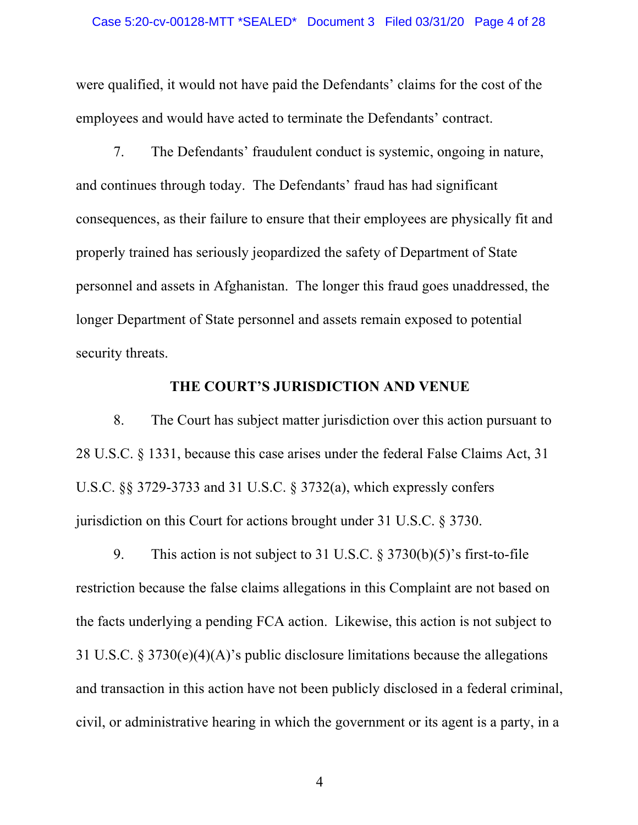were qualified, it would not have paid the Defendants' claims for the cost of the employees and would have acted to terminate the Defendants' contract.

7. The Defendants' fraudulent conduct is systemic, ongoing in nature, and continues through today. The Defendants' fraud has had significant consequences, as their failure to ensure that their employees are physically fit and properly trained has seriously jeopardized the safety of Department of State personnel and assets in Afghanistan. The longer this fraud goes unaddressed, the longer Department of State personnel and assets remain exposed to potential security threats.

#### **THE COURT'S JURISDICTION AND VENUE**

 8. The Court has subject matter jurisdiction over this action pursuant to 28 U.S.C. § 1331, because this case arises under the federal False Claims Act, 31 U.S.C. §§ 3729-3733 and 31 U.S.C. § 3732(a), which expressly confers jurisdiction on this Court for actions brought under 31 U.S.C. § 3730.

 9. This action is not subject to 31 U.S.C. § 3730(b)(5)'s first-to-file restriction because the false claims allegations in this Complaint are not based on the facts underlying a pending FCA action. Likewise, this action is not subject to 31 U.S.C. § 3730(e)(4)(A)'s public disclosure limitations because the allegations and transaction in this action have not been publicly disclosed in a federal criminal, civil, or administrative hearing in which the government or its agent is a party, in a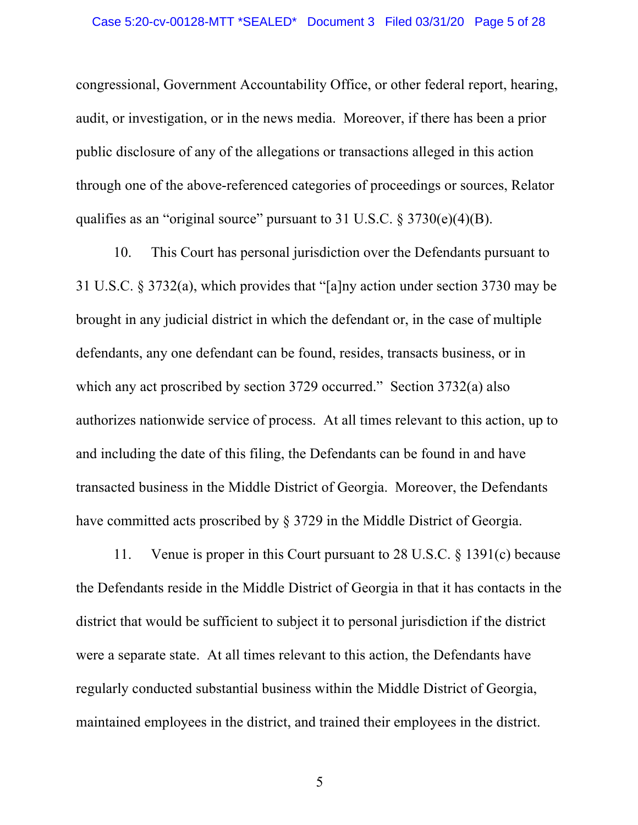congressional, Government Accountability Office, or other federal report, hearing, audit, or investigation, or in the news media. Moreover, if there has been a prior public disclosure of any of the allegations or transactions alleged in this action through one of the above-referenced categories of proceedings or sources, Relator qualifies as an "original source" pursuant to 31 U.S.C. § 3730(e)(4)(B).

10. This Court has personal jurisdiction over the Defendants pursuant to 31 U.S.C. § 3732(a), which provides that "[a]ny action under section 3730 may be brought in any judicial district in which the defendant or, in the case of multiple defendants, any one defendant can be found, resides, transacts business, or in which any act proscribed by section 3729 occurred." Section 3732(a) also authorizes nationwide service of process. At all times relevant to this action, up to and including the date of this filing, the Defendants can be found in and have transacted business in the Middle District of Georgia. Moreover, the Defendants have committed acts proscribed by § 3729 in the Middle District of Georgia.

 11. Venue is proper in this Court pursuant to 28 U.S.C. § 1391(c) because the Defendants reside in the Middle District of Georgia in that it has contacts in the district that would be sufficient to subject it to personal jurisdiction if the district were a separate state. At all times relevant to this action, the Defendants have regularly conducted substantial business within the Middle District of Georgia, maintained employees in the district, and trained their employees in the district.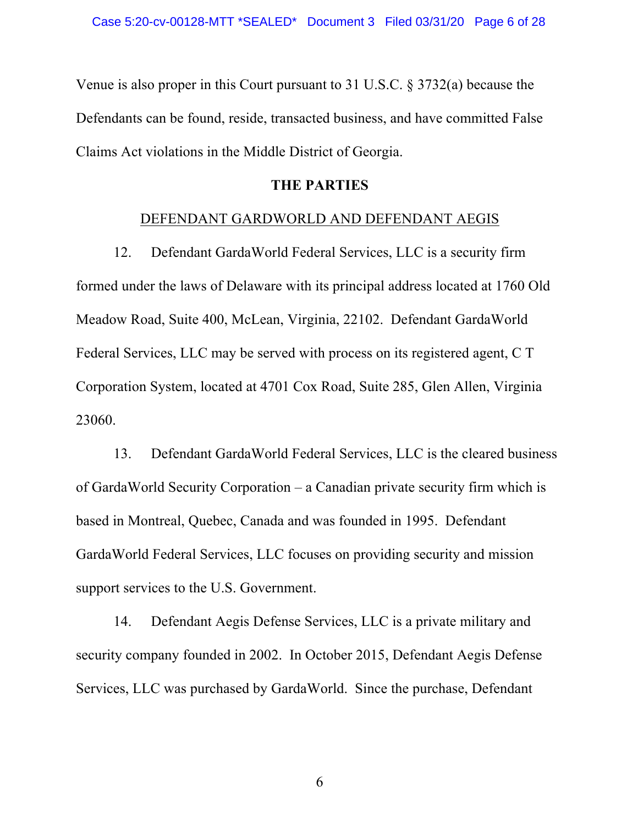Venue is also proper in this Court pursuant to 31 U.S.C. § 3732(a) because the Defendants can be found, reside, transacted business, and have committed False Claims Act violations in the Middle District of Georgia.

## **THE PARTIES**

## DEFENDANT GARDWORLD AND DEFENDANT AEGIS

 12. Defendant GardaWorld Federal Services, LLC is a security firm formed under the laws of Delaware with its principal address located at 1760 Old Meadow Road, Suite 400, McLean, Virginia, 22102. Defendant GardaWorld Federal Services, LLC may be served with process on its registered agent, C T Corporation System, located at 4701 Cox Road, Suite 285, Glen Allen, Virginia 23060.

 13. Defendant GardaWorld Federal Services, LLC is the cleared business of GardaWorld Security Corporation – a Canadian private security firm which is based in Montreal, Quebec, Canada and was founded in 1995. Defendant GardaWorld Federal Services, LLC focuses on providing security and mission support services to the U.S. Government.

 14. Defendant Aegis Defense Services, LLC is a private military and security company founded in 2002. In October 2015, Defendant Aegis Defense Services, LLC was purchased by GardaWorld. Since the purchase, Defendant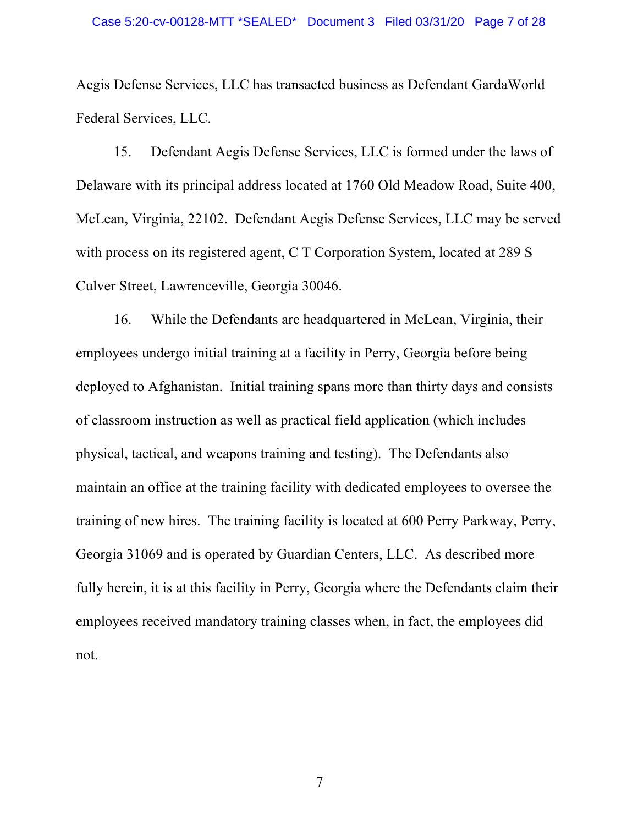Aegis Defense Services, LLC has transacted business as Defendant GardaWorld Federal Services, LLC.

 15. Defendant Aegis Defense Services, LLC is formed under the laws of Delaware with its principal address located at 1760 Old Meadow Road, Suite 400, McLean, Virginia, 22102. Defendant Aegis Defense Services, LLC may be served with process on its registered agent, C T Corporation System, located at 289 S Culver Street, Lawrenceville, Georgia 30046.

 16. While the Defendants are headquartered in McLean, Virginia, their employees undergo initial training at a facility in Perry, Georgia before being deployed to Afghanistan. Initial training spans more than thirty days and consists of classroom instruction as well as practical field application (which includes physical, tactical, and weapons training and testing). The Defendants also maintain an office at the training facility with dedicated employees to oversee the training of new hires. The training facility is located at 600 Perry Parkway, Perry, Georgia 31069 and is operated by Guardian Centers, LLC. As described more fully herein, it is at this facility in Perry, Georgia where the Defendants claim their employees received mandatory training classes when, in fact, the employees did not.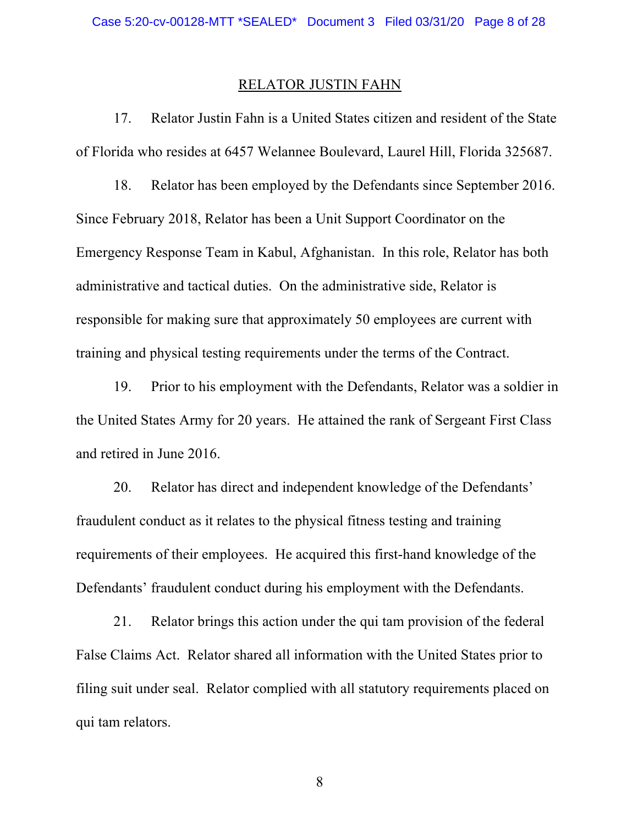#### RELATOR JUSTIN FAHN

 17. Relator Justin Fahn is a United States citizen and resident of the State of Florida who resides at 6457 Welannee Boulevard, Laurel Hill, Florida 325687.

 18. Relator has been employed by the Defendants since September 2016. Since February 2018, Relator has been a Unit Support Coordinator on the Emergency Response Team in Kabul, Afghanistan. In this role, Relator has both administrative and tactical duties. On the administrative side, Relator is responsible for making sure that approximately 50 employees are current with training and physical testing requirements under the terms of the Contract.

 19. Prior to his employment with the Defendants, Relator was a soldier in the United States Army for 20 years. He attained the rank of Sergeant First Class and retired in June 2016.

20. Relator has direct and independent knowledge of the Defendants' fraudulent conduct as it relates to the physical fitness testing and training requirements of their employees. He acquired this first-hand knowledge of the Defendants' fraudulent conduct during his employment with the Defendants.

 21. Relator brings this action under the qui tam provision of the federal False Claims Act. Relator shared all information with the United States prior to filing suit under seal. Relator complied with all statutory requirements placed on qui tam relators.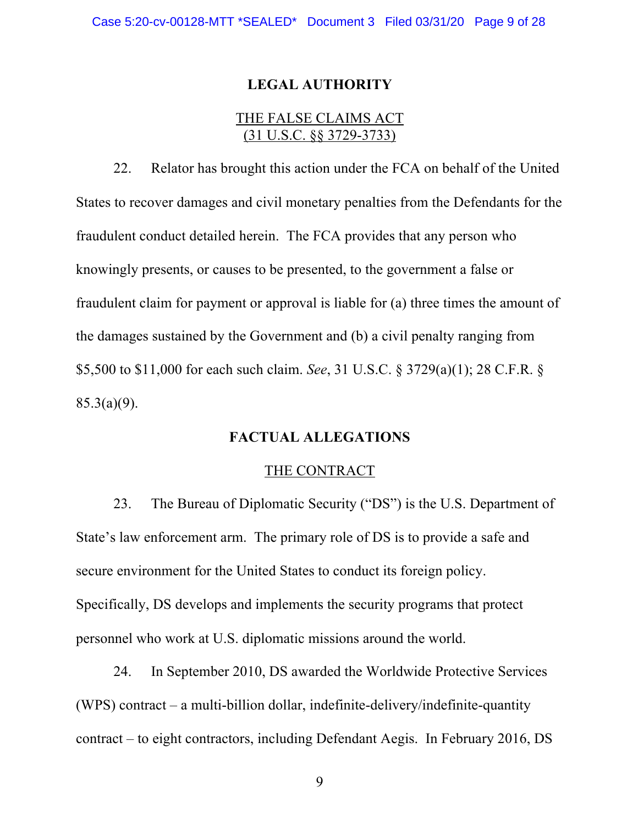### **LEGAL AUTHORITY**

## THE FALSE CLAIMS ACT (31 U.S.C. §§ 3729-3733)

 22. Relator has brought this action under the FCA on behalf of the United States to recover damages and civil monetary penalties from the Defendants for the fraudulent conduct detailed herein. The FCA provides that any person who knowingly presents, or causes to be presented, to the government a false or fraudulent claim for payment or approval is liable for (a) three times the amount of the damages sustained by the Government and (b) a civil penalty ranging from \$5,500 to \$11,000 for each such claim. *See*, 31 U.S.C. § 3729(a)(1); 28 C.F.R. § 85.3(a)(9).

## **FACTUAL ALLEGATIONS**

#### THE CONTRACT

23. The Bureau of Diplomatic Security ("DS") is the U.S. Department of State's law enforcement arm. The primary role of DS is to provide a safe and secure environment for the United States to conduct its foreign policy. Specifically, DS develops and implements the security programs that protect personnel who work at U.S. diplomatic missions around the world.

24. In September 2010, DS awarded the Worldwide Protective Services (WPS) contract – a multi-billion dollar, indefinite-delivery/indefinite-quantity contract – to eight contractors, including Defendant Aegis. In February 2016, DS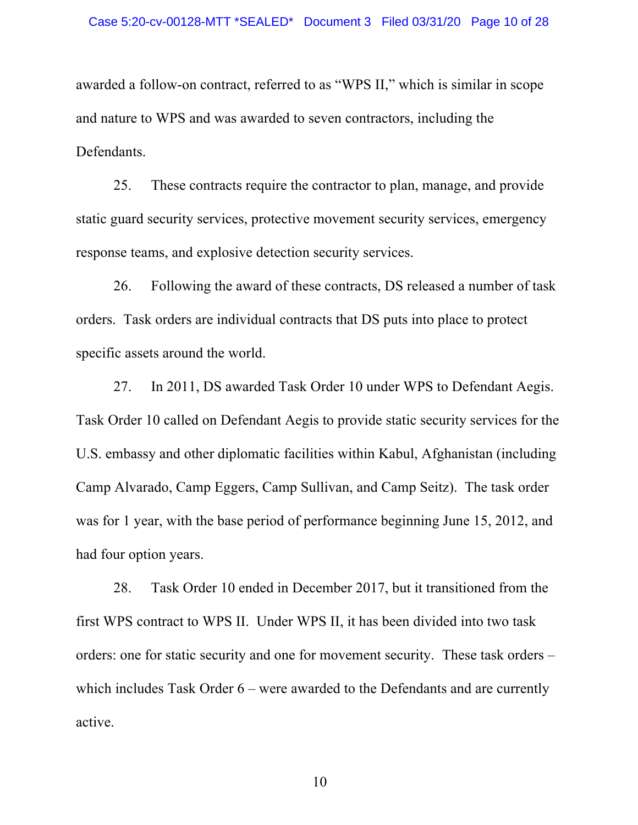awarded a follow-on contract, referred to as "WPS II," which is similar in scope and nature to WPS and was awarded to seven contractors, including the Defendants.

25. These contracts require the contractor to plan, manage, and provide static guard security services, protective movement security services, emergency response teams, and explosive detection security services.

26. Following the award of these contracts, DS released a number of task orders. Task orders are individual contracts that DS puts into place to protect specific assets around the world.

27. In 2011, DS awarded Task Order 10 under WPS to Defendant Aegis. Task Order 10 called on Defendant Aegis to provide static security services for the U.S. embassy and other diplomatic facilities within Kabul, Afghanistan (including Camp Alvarado, Camp Eggers, Camp Sullivan, and Camp Seitz). The task order was for 1 year, with the base period of performance beginning June 15, 2012, and had four option years.

28. Task Order 10 ended in December 2017, but it transitioned from the first WPS contract to WPS II. Under WPS II, it has been divided into two task orders: one for static security and one for movement security. These task orders – which includes Task Order 6 – were awarded to the Defendants and are currently active.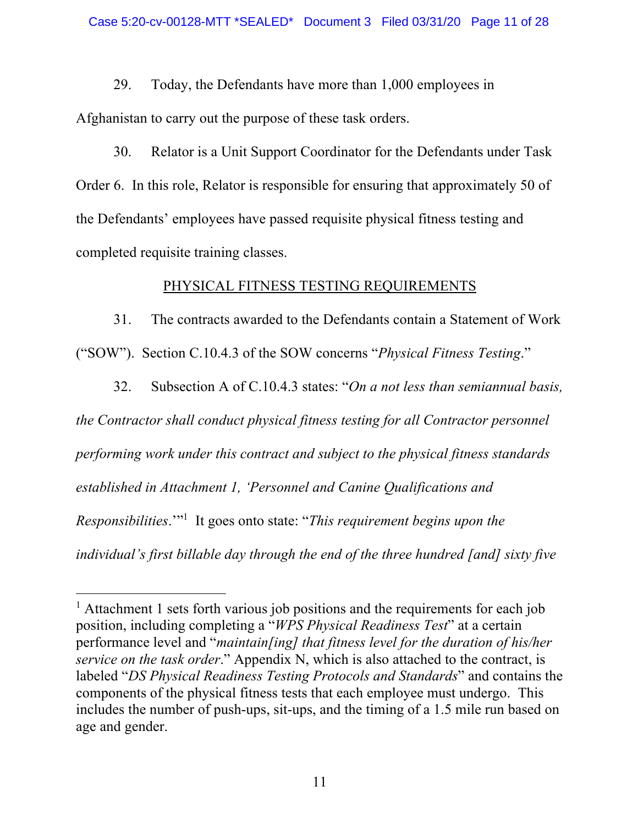29. Today, the Defendants have more than 1,000 employees in Afghanistan to carry out the purpose of these task orders.

30. Relator is a Unit Support Coordinator for the Defendants under Task Order 6. In this role, Relator is responsible for ensuring that approximately 50 of the Defendants' employees have passed requisite physical fitness testing and completed requisite training classes.

# PHYSICAL FITNESS TESTING REQUIREMENTS

31. The contracts awarded to the Defendants contain a Statement of Work ("SOW"). Section C.10.4.3 of the SOW concerns "*Physical Fitness Testing*."

32. Subsection A of C.10.4.3 states: "*On a not less than semiannual basis, the Contractor shall conduct physical fitness testing for all Contractor personnel performing work under this contract and subject to the physical fitness standards established in Attachment 1, 'Personnel and Canine Qualifications and*  Responsibilities."<sup>1</sup> It goes onto state: "*This requirement begins upon the individual's first billable day through the end of the three hundred [and] sixty five* 

<sup>&</sup>lt;sup>1</sup> Attachment 1 sets forth various job positions and the requirements for each job position, including completing a "*WPS Physical Readiness Test*" at a certain performance level and "*maintain[ing] that fitness level for the duration of his/her service on the task order*." Appendix N, which is also attached to the contract, is labeled "*DS Physical Readiness Testing Protocols and Standards*" and contains the components of the physical fitness tests that each employee must undergo. This includes the number of push-ups, sit-ups, and the timing of a 1.5 mile run based on age and gender.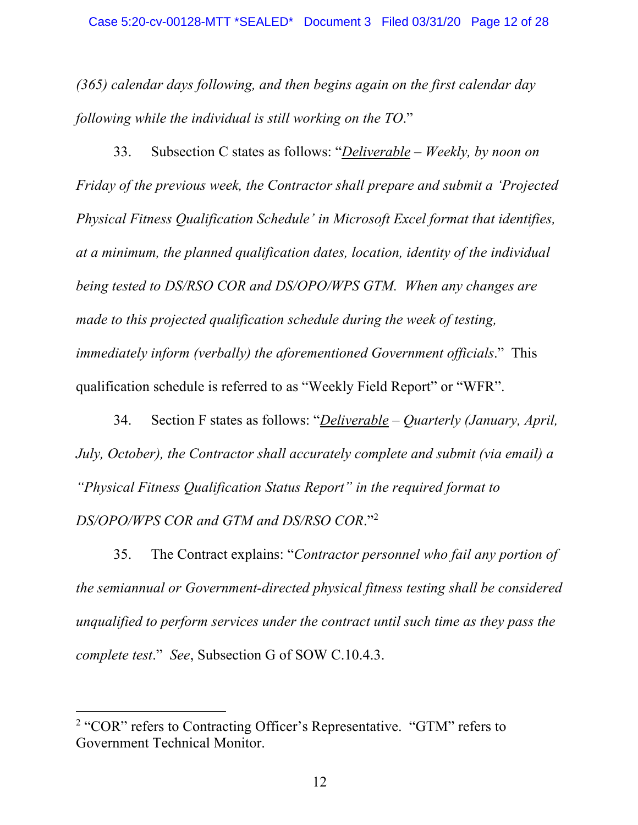*(365) calendar days following, and then begins again on the first calendar day following while the individual is still working on the TO*."

33. Subsection C states as follows: "*Deliverable – Weekly, by noon on Friday of the previous week, the Contractor shall prepare and submit a 'Projected Physical Fitness Qualification Schedule' in Microsoft Excel format that identifies, at a minimum, the planned qualification dates, location, identity of the individual being tested to DS/RSO COR and DS/OPO/WPS GTM. When any changes are made to this projected qualification schedule during the week of testing, immediately inform (verbally) the aforementioned Government officials*." This qualification schedule is referred to as "Weekly Field Report" or "WFR".

34. Section F states as follows: "*Deliverable – Quarterly (January, April, July, October), the Contractor shall accurately complete and submit (via email) a "Physical Fitness Qualification Status Report" in the required format to DS/OPO/WPS COR and GTM and DS/RSO COR*."<sup>2</sup>

35. The Contract explains: "*Contractor personnel who fail any portion of the semiannual or Government-directed physical fitness testing shall be considered unqualified to perform services under the contract until such time as they pass the complete test*." *See*, Subsection G of SOW C.10.4.3.

<sup>&</sup>lt;sup>2</sup> "COR" refers to Contracting Officer's Representative. "GTM" refers to Government Technical Monitor.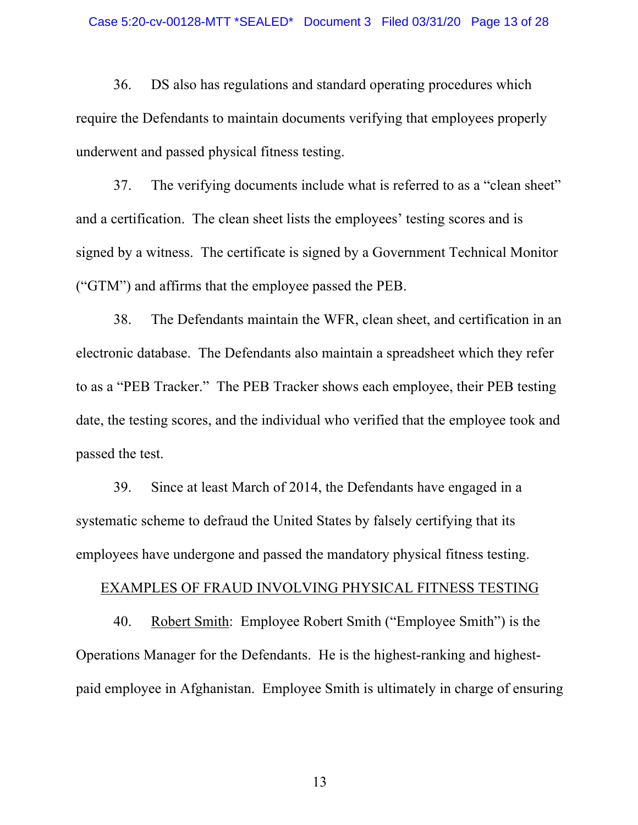36. DS also has regulations and standard operating procedures which require the Defendants to maintain documents verifying that employees properly underwent and passed physical fitness testing.

 37. The verifying documents include what is referred to as a "clean sheet" and a certification. The clean sheet lists the employees' testing scores and is signed by a witness. The certificate is signed by a Government Technical Monitor ("GTM") and affirms that the employee passed the PEB.

 38. The Defendants maintain the WFR, clean sheet, and certification in an electronic database. The Defendants also maintain a spreadsheet which they refer to as a "PEB Tracker." The PEB Tracker shows each employee, their PEB testing date, the testing scores, and the individual who verified that the employee took and passed the test.

 39. Since at least March of 2014, the Defendants have engaged in a systematic scheme to defraud the United States by falsely certifying that its employees have undergone and passed the mandatory physical fitness testing.

#### EXAMPLES OF FRAUD INVOLVING PHYSICAL FITNESS TESTING

40. Robert Smith: Employee Robert Smith ("Employee Smith") is the Operations Manager for the Defendants. He is the highest-ranking and highestpaid employee in Afghanistan. Employee Smith is ultimately in charge of ensuring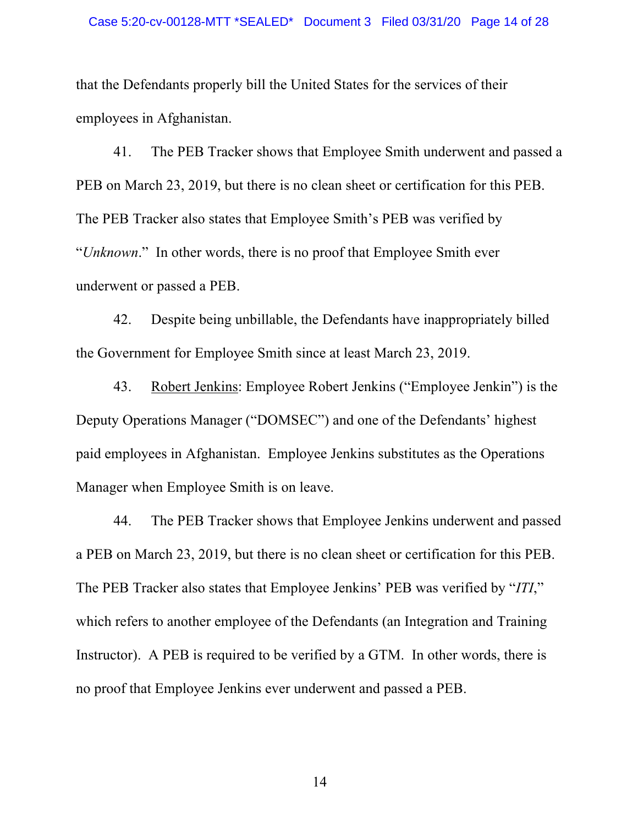that the Defendants properly bill the United States for the services of their employees in Afghanistan.

 41. The PEB Tracker shows that Employee Smith underwent and passed a PEB on March 23, 2019, but there is no clean sheet or certification for this PEB. The PEB Tracker also states that Employee Smith's PEB was verified by "*Unknown*." In other words, there is no proof that Employee Smith ever underwent or passed a PEB.

 42. Despite being unbillable, the Defendants have inappropriately billed the Government for Employee Smith since at least March 23, 2019.

 43. Robert Jenkins: Employee Robert Jenkins ("Employee Jenkin") is the Deputy Operations Manager ("DOMSEC") and one of the Defendants' highest paid employees in Afghanistan. Employee Jenkins substitutes as the Operations Manager when Employee Smith is on leave.

 44. The PEB Tracker shows that Employee Jenkins underwent and passed a PEB on March 23, 2019, but there is no clean sheet or certification for this PEB. The PEB Tracker also states that Employee Jenkins' PEB was verified by "*ITI*," which refers to another employee of the Defendants (an Integration and Training Instructor). A PEB is required to be verified by a GTM. In other words, there is no proof that Employee Jenkins ever underwent and passed a PEB.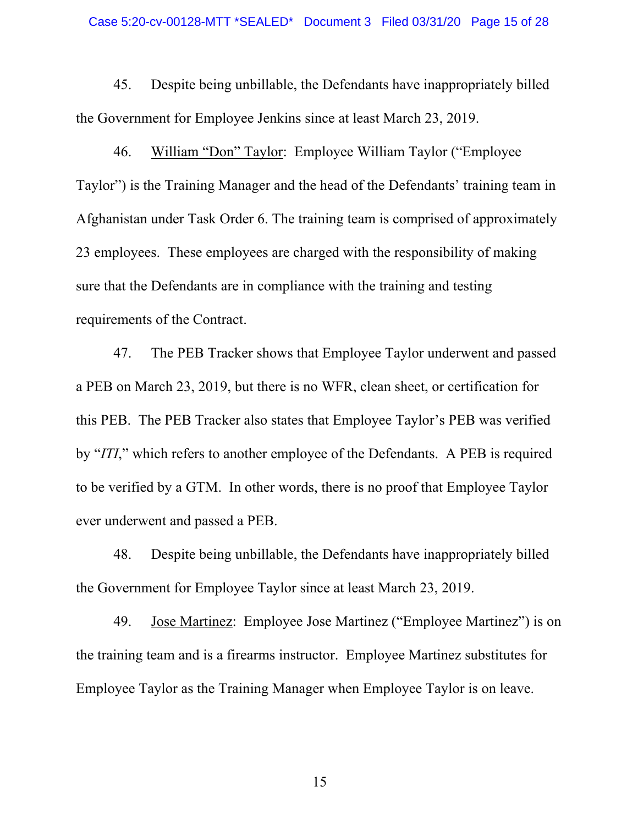45. Despite being unbillable, the Defendants have inappropriately billed the Government for Employee Jenkins since at least March 23, 2019.

 46. William "Don" Taylor: Employee William Taylor ("Employee Taylor") is the Training Manager and the head of the Defendants' training team in Afghanistan under Task Order 6. The training team is comprised of approximately 23 employees. These employees are charged with the responsibility of making sure that the Defendants are in compliance with the training and testing requirements of the Contract.

 47. The PEB Tracker shows that Employee Taylor underwent and passed a PEB on March 23, 2019, but there is no WFR, clean sheet, or certification for this PEB. The PEB Tracker also states that Employee Taylor's PEB was verified by "*ITI*," which refers to another employee of the Defendants. A PEB is required to be verified by a GTM. In other words, there is no proof that Employee Taylor ever underwent and passed a PEB.

 48. Despite being unbillable, the Defendants have inappropriately billed the Government for Employee Taylor since at least March 23, 2019.

 49. Jose Martinez: Employee Jose Martinez ("Employee Martinez") is on the training team and is a firearms instructor. Employee Martinez substitutes for Employee Taylor as the Training Manager when Employee Taylor is on leave.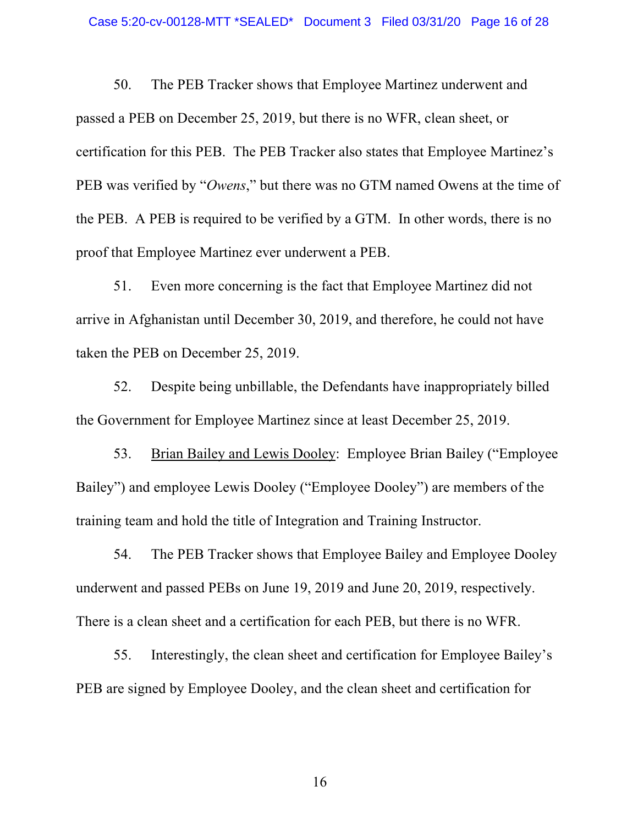50. The PEB Tracker shows that Employee Martinez underwent and passed a PEB on December 25, 2019, but there is no WFR, clean sheet, or certification for this PEB. The PEB Tracker also states that Employee Martinez's PEB was verified by "*Owens*," but there was no GTM named Owens at the time of the PEB. A PEB is required to be verified by a GTM. In other words, there is no proof that Employee Martinez ever underwent a PEB.

 51. Even more concerning is the fact that Employee Martinez did not arrive in Afghanistan until December 30, 2019, and therefore, he could not have taken the PEB on December 25, 2019.

 52. Despite being unbillable, the Defendants have inappropriately billed the Government for Employee Martinez since at least December 25, 2019.

 53. Brian Bailey and Lewis Dooley: Employee Brian Bailey ("Employee Bailey") and employee Lewis Dooley ("Employee Dooley") are members of the training team and hold the title of Integration and Training Instructor.

 54. The PEB Tracker shows that Employee Bailey and Employee Dooley underwent and passed PEBs on June 19, 2019 and June 20, 2019, respectively. There is a clean sheet and a certification for each PEB, but there is no WFR.

 55. Interestingly, the clean sheet and certification for Employee Bailey's PEB are signed by Employee Dooley, and the clean sheet and certification for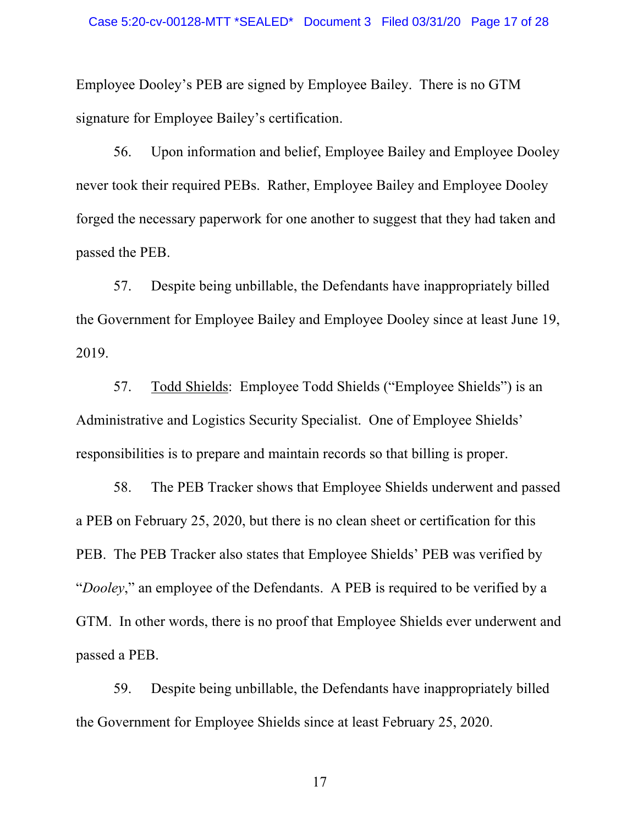Employee Dooley's PEB are signed by Employee Bailey. There is no GTM signature for Employee Bailey's certification.

 56. Upon information and belief, Employee Bailey and Employee Dooley never took their required PEBs. Rather, Employee Bailey and Employee Dooley forged the necessary paperwork for one another to suggest that they had taken and passed the PEB.

 57. Despite being unbillable, the Defendants have inappropriately billed the Government for Employee Bailey and Employee Dooley since at least June 19, 2019.

 57. Todd Shields: Employee Todd Shields ("Employee Shields") is an Administrative and Logistics Security Specialist. One of Employee Shields' responsibilities is to prepare and maintain records so that billing is proper.

 58. The PEB Tracker shows that Employee Shields underwent and passed a PEB on February 25, 2020, but there is no clean sheet or certification for this PEB. The PEB Tracker also states that Employee Shields' PEB was verified by "*Dooley*," an employee of the Defendants. A PEB is required to be verified by a GTM. In other words, there is no proof that Employee Shields ever underwent and passed a PEB.

 59. Despite being unbillable, the Defendants have inappropriately billed the Government for Employee Shields since at least February 25, 2020.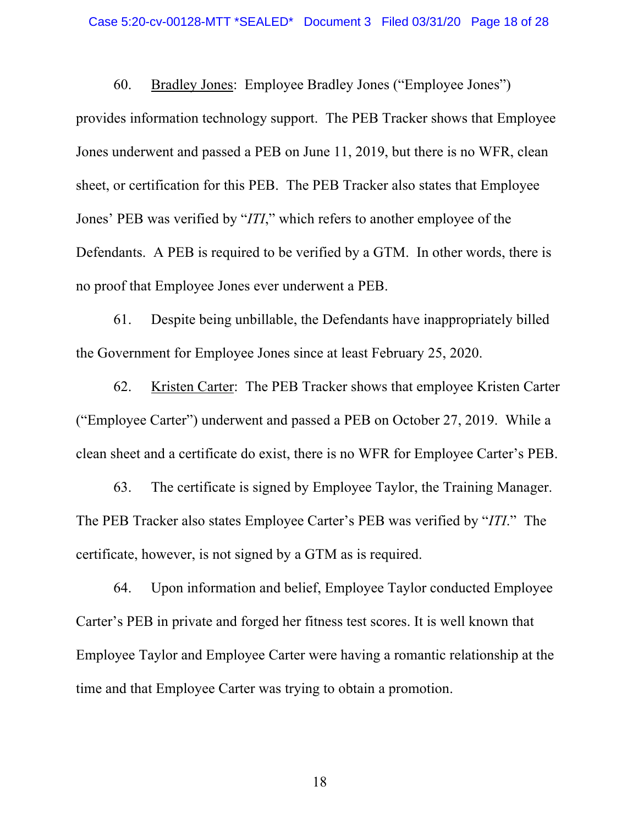60. Bradley Jones: Employee Bradley Jones ("Employee Jones") provides information technology support. The PEB Tracker shows that Employee Jones underwent and passed a PEB on June 11, 2019, but there is no WFR, clean sheet, or certification for this PEB. The PEB Tracker also states that Employee Jones' PEB was verified by "*ITI*," which refers to another employee of the Defendants. A PEB is required to be verified by a GTM. In other words, there is no proof that Employee Jones ever underwent a PEB.

 61. Despite being unbillable, the Defendants have inappropriately billed the Government for Employee Jones since at least February 25, 2020.

 62. Kristen Carter: The PEB Tracker shows that employee Kristen Carter ("Employee Carter") underwent and passed a PEB on October 27, 2019. While a clean sheet and a certificate do exist, there is no WFR for Employee Carter's PEB.

 63. The certificate is signed by Employee Taylor, the Training Manager. The PEB Tracker also states Employee Carter's PEB was verified by "*ITI*." The certificate, however, is not signed by a GTM as is required.

 64. Upon information and belief, Employee Taylor conducted Employee Carter's PEB in private and forged her fitness test scores. It is well known that Employee Taylor and Employee Carter were having a romantic relationship at the time and that Employee Carter was trying to obtain a promotion.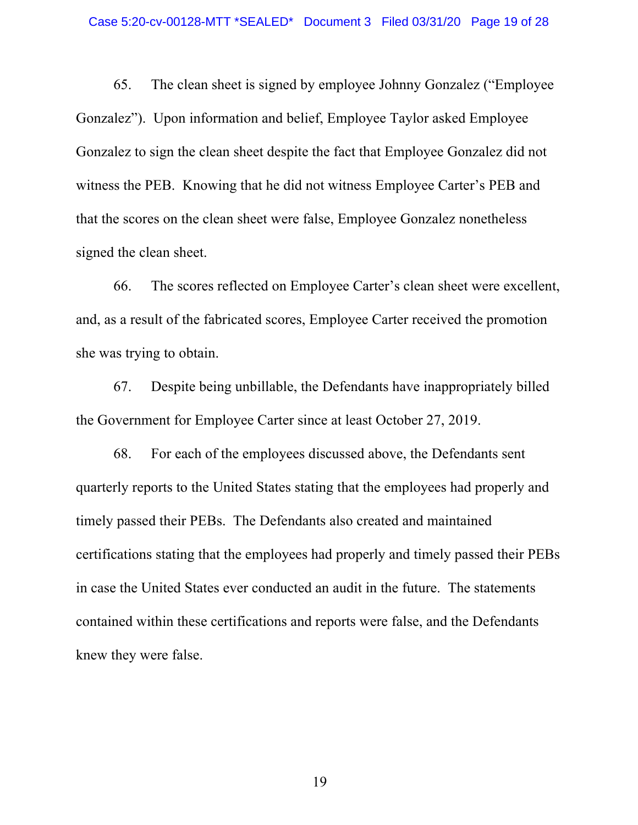65. The clean sheet is signed by employee Johnny Gonzalez ("Employee Gonzalez"). Upon information and belief, Employee Taylor asked Employee Gonzalez to sign the clean sheet despite the fact that Employee Gonzalez did not witness the PEB. Knowing that he did not witness Employee Carter's PEB and that the scores on the clean sheet were false, Employee Gonzalez nonetheless signed the clean sheet.

 66. The scores reflected on Employee Carter's clean sheet were excellent, and, as a result of the fabricated scores, Employee Carter received the promotion she was trying to obtain.

 67. Despite being unbillable, the Defendants have inappropriately billed the Government for Employee Carter since at least October 27, 2019.

 68. For each of the employees discussed above, the Defendants sent quarterly reports to the United States stating that the employees had properly and timely passed their PEBs. The Defendants also created and maintained certifications stating that the employees had properly and timely passed their PEBs in case the United States ever conducted an audit in the future. The statements contained within these certifications and reports were false, and the Defendants knew they were false.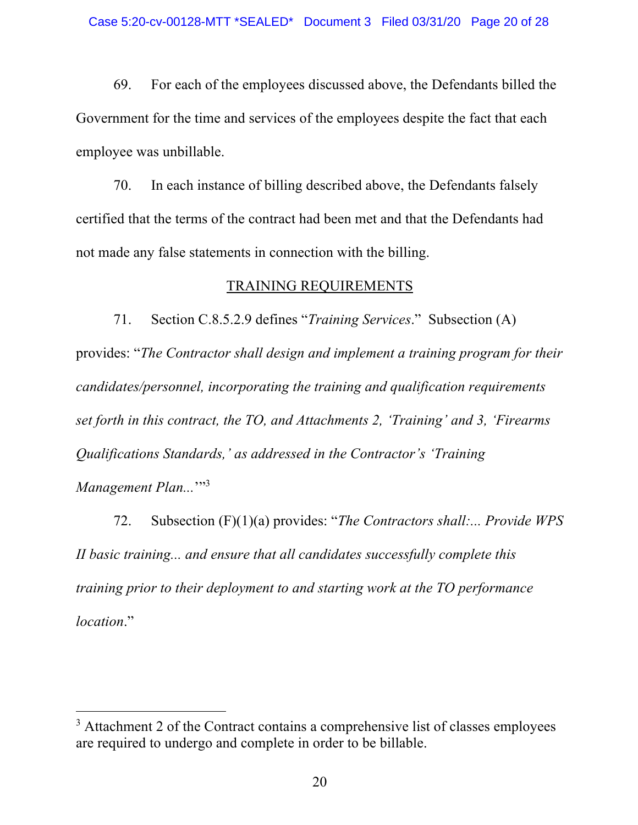69. For each of the employees discussed above, the Defendants billed the Government for the time and services of the employees despite the fact that each employee was unbillable.

 70. In each instance of billing described above, the Defendants falsely certified that the terms of the contract had been met and that the Defendants had not made any false statements in connection with the billing.

#### TRAINING REQUIREMENTS

 71. Section C.8.5.2.9 defines "*Training Services*." Subsection (A) provides: "*The Contractor shall design and implement a training program for their candidates/personnel, incorporating the training and qualification requirements set forth in this contract, the TO, and Attachments 2, 'Training' and 3, 'Firearms Qualifications Standards,' as addressed in the Contractor's 'Training*  Management Plan...<sup>''3</sup>

 72. Subsection (F)(1)(a) provides: "*The Contractors shall:... Provide WPS II basic training... and ensure that all candidates successfully complete this training prior to their deployment to and starting work at the TO performance location*."

<sup>&</sup>lt;sup>3</sup> Attachment 2 of the Contract contains a comprehensive list of classes employees are required to undergo and complete in order to be billable.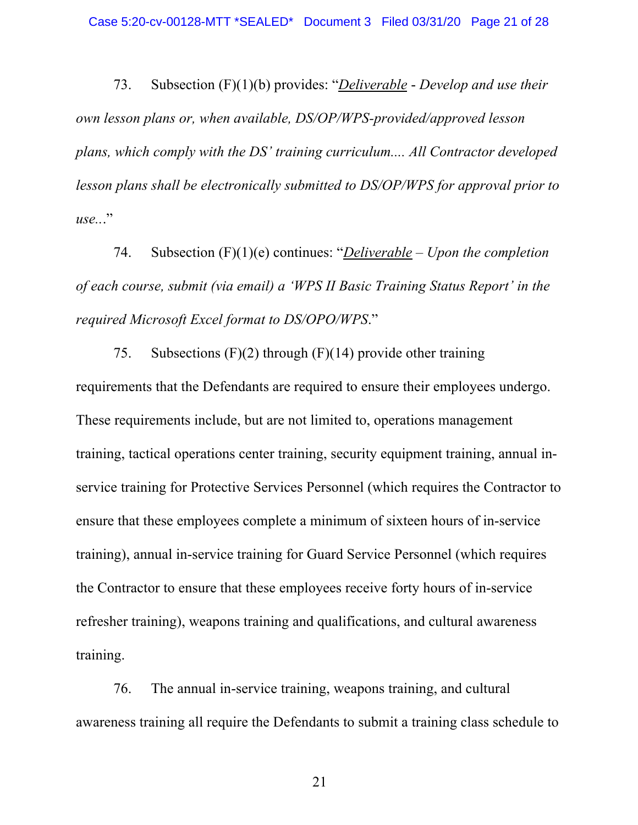73. Subsection (F)(1)(b) provides: "*Deliverable* - *Develop and use their own lesson plans or, when available, DS/OP/WPS-provided/approved lesson plans, which comply with the DS' training curriculum.... All Contractor developed lesson plans shall be electronically submitted to DS/OP/WPS for approval prior to use..*."

 74. Subsection (F)(1)(e) continues: "*Deliverable – Upon the completion of each course, submit (via email) a 'WPS II Basic Training Status Report' in the required Microsoft Excel format to DS/OPO/WPS*."

75. Subsections  $(F)(2)$  through  $(F)(14)$  provide other training requirements that the Defendants are required to ensure their employees undergo. These requirements include, but are not limited to, operations management training, tactical operations center training, security equipment training, annual inservice training for Protective Services Personnel (which requires the Contractor to ensure that these employees complete a minimum of sixteen hours of in-service training), annual in-service training for Guard Service Personnel (which requires the Contractor to ensure that these employees receive forty hours of in-service refresher training), weapons training and qualifications, and cultural awareness training.

 76. The annual in-service training, weapons training, and cultural awareness training all require the Defendants to submit a training class schedule to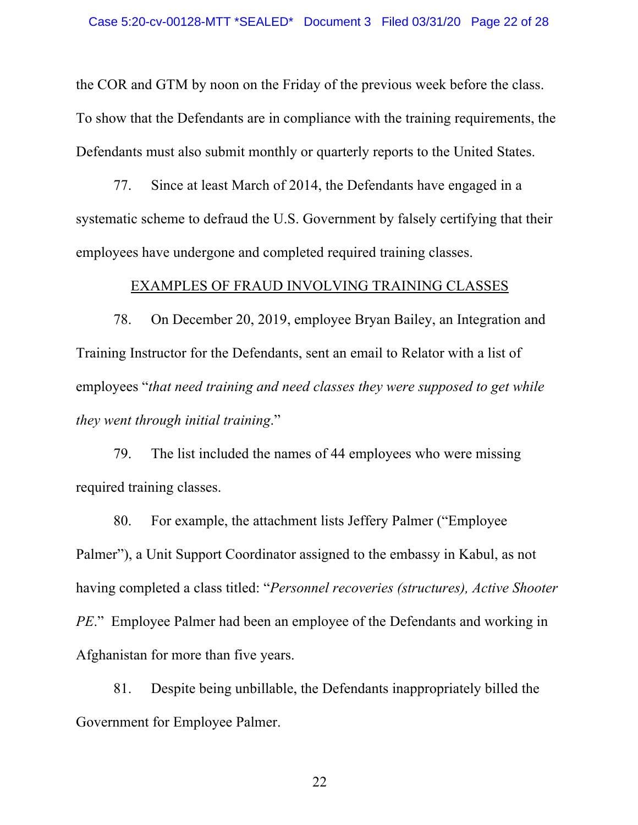the COR and GTM by noon on the Friday of the previous week before the class. To show that the Defendants are in compliance with the training requirements, the Defendants must also submit monthly or quarterly reports to the United States.

 77. Since at least March of 2014, the Defendants have engaged in a systematic scheme to defraud the U.S. Government by falsely certifying that their employees have undergone and completed required training classes.

### EXAMPLES OF FRAUD INVOLVING TRAINING CLASSES

 78. On December 20, 2019, employee Bryan Bailey, an Integration and Training Instructor for the Defendants, sent an email to Relator with a list of employees "*that need training and need classes they were supposed to get while they went through initial training*."

79. The list included the names of 44 employees who were missing required training classes.

 80. For example, the attachment lists Jeffery Palmer ("Employee Palmer"), a Unit Support Coordinator assigned to the embassy in Kabul, as not having completed a class titled: "*Personnel recoveries (structures), Active Shooter PE*." Employee Palmer had been an employee of the Defendants and working in Afghanistan for more than five years.

 81. Despite being unbillable, the Defendants inappropriately billed the Government for Employee Palmer.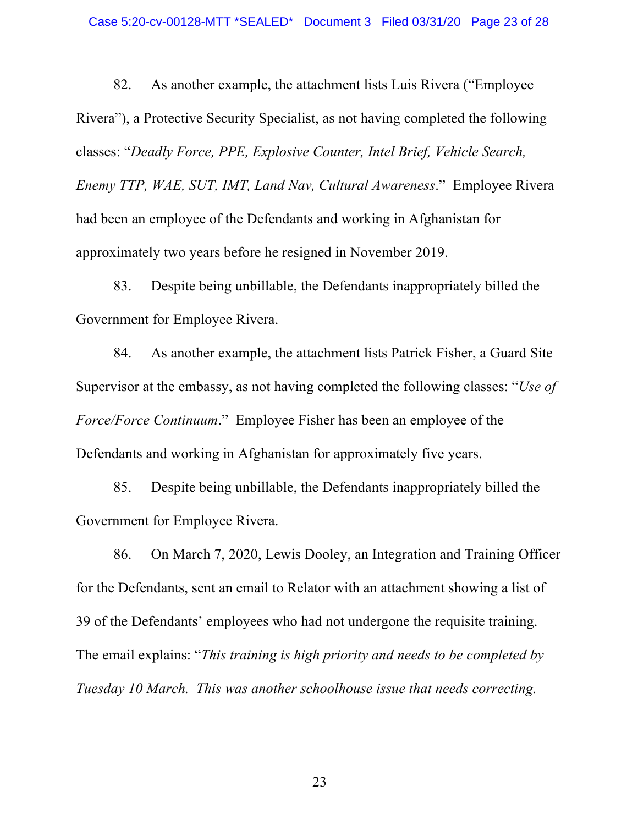82. As another example, the attachment lists Luis Rivera ("Employee Rivera"), a Protective Security Specialist, as not having completed the following classes: "*Deadly Force, PPE, Explosive Counter, Intel Brief, Vehicle Search, Enemy TTP, WAE, SUT, IMT, Land Nav, Cultural Awareness*." Employee Rivera had been an employee of the Defendants and working in Afghanistan for approximately two years before he resigned in November 2019.

 83. Despite being unbillable, the Defendants inappropriately billed the Government for Employee Rivera.

 84. As another example, the attachment lists Patrick Fisher, a Guard Site Supervisor at the embassy, as not having completed the following classes: "*Use of Force/Force Continuum*." Employee Fisher has been an employee of the Defendants and working in Afghanistan for approximately five years.

 85. Despite being unbillable, the Defendants inappropriately billed the Government for Employee Rivera.

 86. On March 7, 2020, Lewis Dooley, an Integration and Training Officer for the Defendants, sent an email to Relator with an attachment showing a list of 39 of the Defendants' employees who had not undergone the requisite training. The email explains: "*This training is high priority and needs to be completed by Tuesday 10 March. This was another schoolhouse issue that needs correcting.*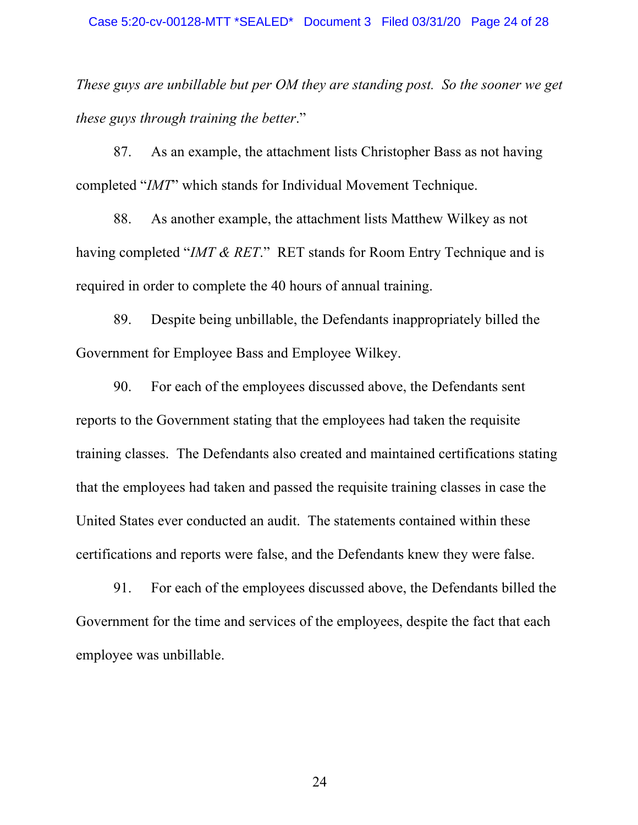*These guys are unbillable but per OM they are standing post. So the sooner we get these guys through training the better*."

 87. As an example, the attachment lists Christopher Bass as not having completed "*IMT*" which stands for Individual Movement Technique.

 88. As another example, the attachment lists Matthew Wilkey as not having completed "*IMT & RET*." RET stands for Room Entry Technique and is required in order to complete the 40 hours of annual training.

89. Despite being unbillable, the Defendants inappropriately billed the Government for Employee Bass and Employee Wilkey.

 90. For each of the employees discussed above, the Defendants sent reports to the Government stating that the employees had taken the requisite training classes. The Defendants also created and maintained certifications stating that the employees had taken and passed the requisite training classes in case the United States ever conducted an audit. The statements contained within these certifications and reports were false, and the Defendants knew they were false.

 91. For each of the employees discussed above, the Defendants billed the Government for the time and services of the employees, despite the fact that each employee was unbillable.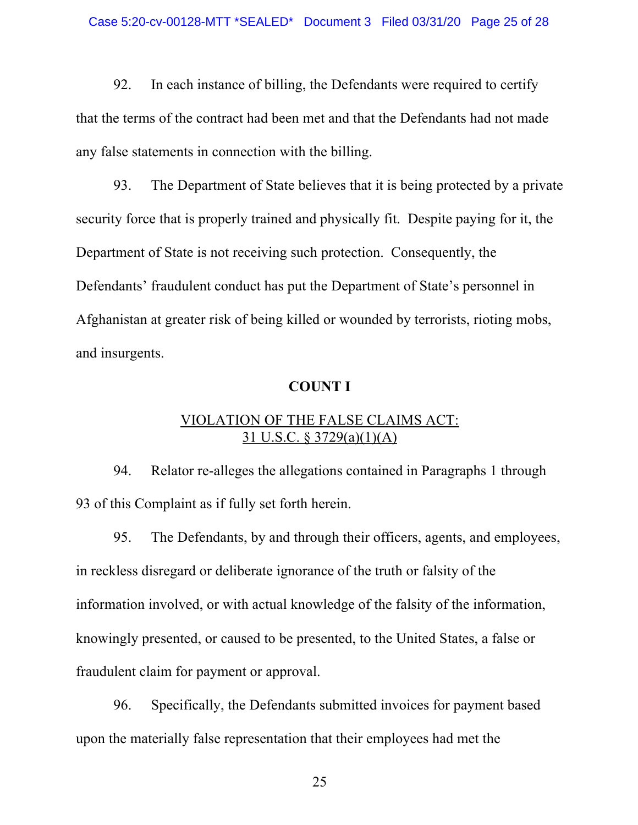92. In each instance of billing, the Defendants were required to certify that the terms of the contract had been met and that the Defendants had not made any false statements in connection with the billing.

 93. The Department of State believes that it is being protected by a private security force that is properly trained and physically fit. Despite paying for it, the Department of State is not receiving such protection. Consequently, the Defendants' fraudulent conduct has put the Department of State's personnel in Afghanistan at greater risk of being killed or wounded by terrorists, rioting mobs, and insurgents.

## **COUNT I**

## VIOLATION OF THE FALSE CLAIMS ACT: 31 U.S.C. § 3729(a)(1)(A)

 94. Relator re-alleges the allegations contained in Paragraphs 1 through 93 of this Complaint as if fully set forth herein.

 95. The Defendants, by and through their officers, agents, and employees, in reckless disregard or deliberate ignorance of the truth or falsity of the information involved, or with actual knowledge of the falsity of the information, knowingly presented, or caused to be presented, to the United States, a false or fraudulent claim for payment or approval.

 96. Specifically, the Defendants submitted invoices for payment based upon the materially false representation that their employees had met the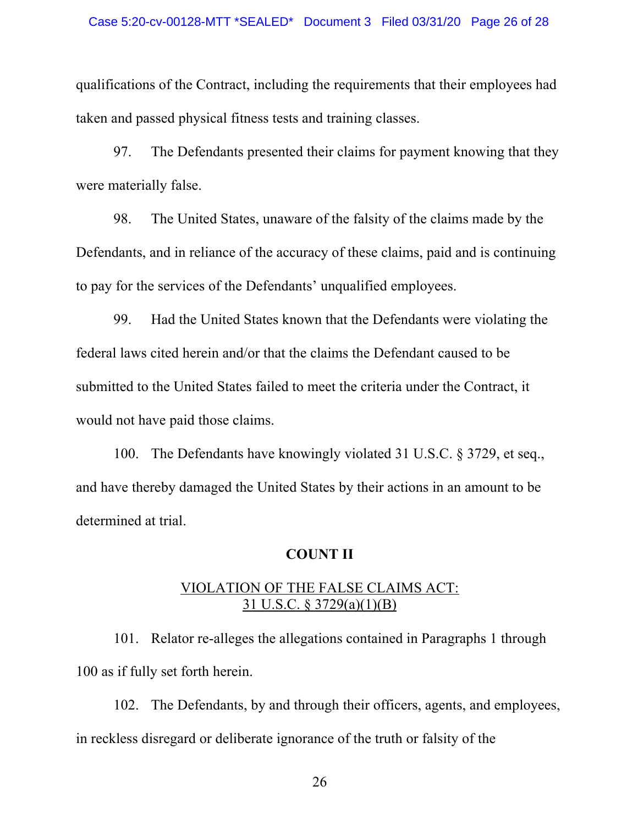qualifications of the Contract, including the requirements that their employees had taken and passed physical fitness tests and training classes.

 97. The Defendants presented their claims for payment knowing that they were materially false.

 98. The United States, unaware of the falsity of the claims made by the Defendants, and in reliance of the accuracy of these claims, paid and is continuing to pay for the services of the Defendants' unqualified employees.

99. Had the United States known that the Defendants were violating the federal laws cited herein and/or that the claims the Defendant caused to be submitted to the United States failed to meet the criteria under the Contract, it would not have paid those claims.

100. The Defendants have knowingly violated 31 U.S.C. § 3729, et seq., and have thereby damaged the United States by their actions in an amount to be determined at trial.

## **COUNT II**

## VIOLATION OF THE FALSE CLAIMS ACT: 31 U.S.C. § 3729(a)(1)(B)

101. Relator re-alleges the allegations contained in Paragraphs 1 through 100 as if fully set forth herein.

102. The Defendants, by and through their officers, agents, and employees, in reckless disregard or deliberate ignorance of the truth or falsity of the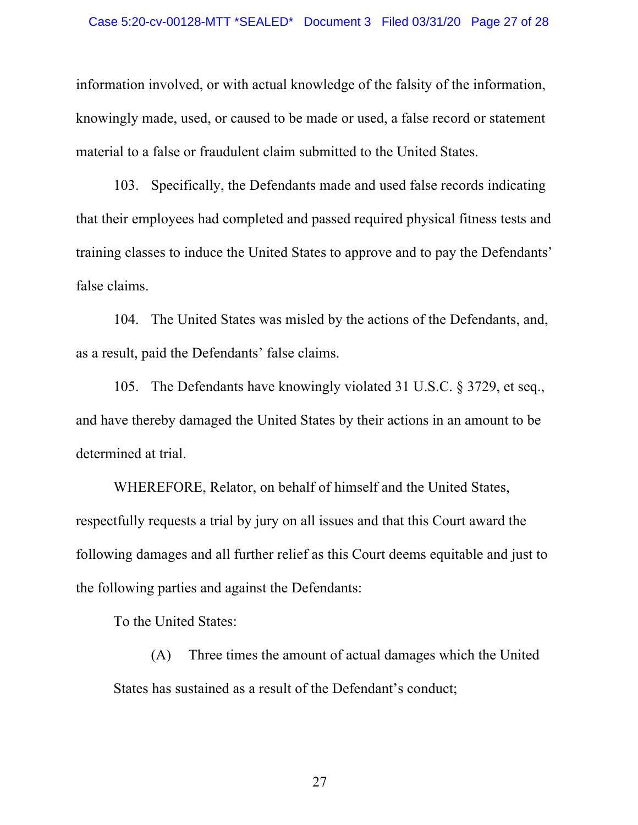information involved, or with actual knowledge of the falsity of the information, knowingly made, used, or caused to be made or used, a false record or statement material to a false or fraudulent claim submitted to the United States.

103. Specifically, the Defendants made and used false records indicating that their employees had completed and passed required physical fitness tests and training classes to induce the United States to approve and to pay the Defendants' false claims.

104. The United States was misled by the actions of the Defendants, and, as a result, paid the Defendants' false claims.

105. The Defendants have knowingly violated 31 U.S.C. § 3729, et seq., and have thereby damaged the United States by their actions in an amount to be determined at trial.

WHEREFORE, Relator, on behalf of himself and the United States, respectfully requests a trial by jury on all issues and that this Court award the following damages and all further relief as this Court deems equitable and just to the following parties and against the Defendants:

To the United States:

 (A) Three times the amount of actual damages which the United States has sustained as a result of the Defendant's conduct;